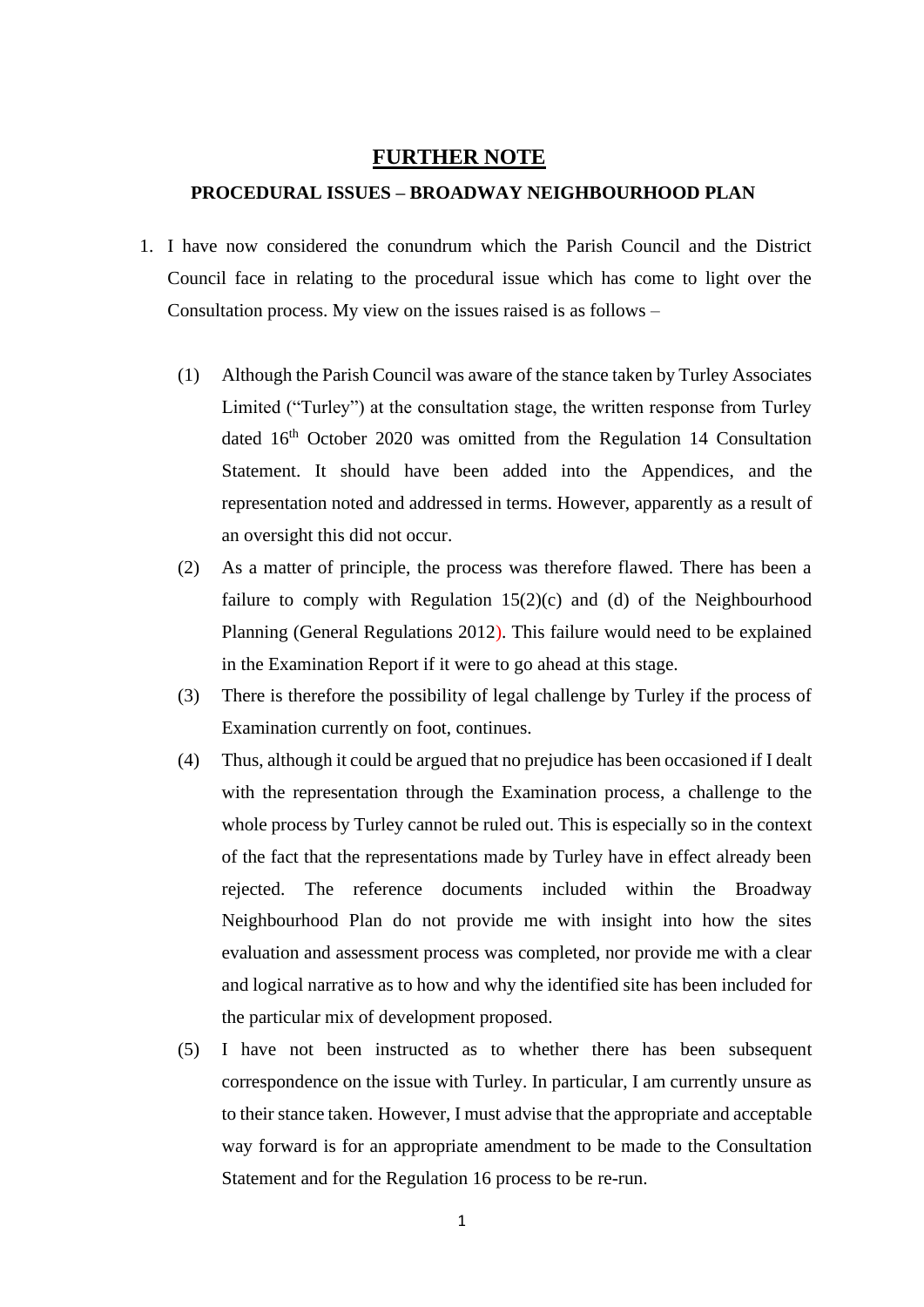## **FURTHER NOTE**

## **PROCEDURAL ISSUES – BROADWAY NEIGHBOURHOOD PLAN**

- 1. I have now considered the conundrum which the Parish Council and the District Council face in relating to the procedural issue which has come to light over the Consultation process. My view on the issues raised is as follows –
	- (1) Although the Parish Council was aware of the stance taken by Turley Associates Limited ("Turley") at the consultation stage, the written response from Turley dated 16<sup>th</sup> October 2020 was omitted from the Regulation 14 Consultation Statement. It should have been added into the Appendices, and the representation noted and addressed in terms. However, apparently as a result of an oversight this did not occur.
	- (2) As a matter of principle, the process was therefore flawed. There has been a failure to comply with Regulation  $15(2)(c)$  and (d) of the Neighbourhood Planning (General Regulations 2012). This failure would need to be explained in the Examination Report if it were to go ahead at this stage.
	- (3) There is therefore the possibility of legal challenge by Turley if the process of Examination currently on foot, continues.
	- (4) Thus, although it could be argued that no prejudice has been occasioned if I dealt with the representation through the Examination process, a challenge to the whole process by Turley cannot be ruled out. This is especially so in the context of the fact that the representations made by Turley have in effect already been rejected. The reference documents included within the Broadway Neighbourhood Plan do not provide me with insight into how the sites evaluation and assessment process was completed, nor provide me with a clear and logical narrative as to how and why the identified site has been included for the particular mix of development proposed.
	- (5) I have not been instructed as to whether there has been subsequent correspondence on the issue with Turley. In particular, I am currently unsure as to their stance taken. However, I must advise that the appropriate and acceptable way forward is for an appropriate amendment to be made to the Consultation Statement and for the Regulation 16 process to be re-run.